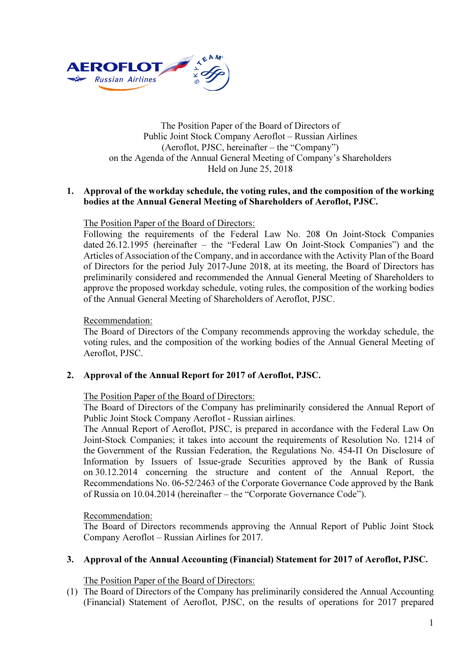

## The Position Paper of the Board of Directors of Public Joint Stock Company Aeroflot – Russian Airlines (Aeroflot, PJSC, hereinafter – the "Company") on the Agenda of the Annual General Meeting of Company's Shareholders Held on June 25, 2018

## 1. Approval of the workday schedule, the voting rules, and the composition of the working bodies at the Annual General Meeting of Shareholders of Aeroflot, PJSC.

## The Position Paper of the Board of Directors:

Following the requirements of the Federal Law No. 208 On Joint-Stock Companies dated 26.12.1995 (hereinafter – the "Federal Law On Joint-Stock Companies") and the Articles of Association of the Company, and in accordance with the Activity Plan of the Board of Directors for the period July 2017-June 2018, at its meeting, the Board of Directors has preliminarily considered and recommended the Annual General Meeting of Shareholders to approve the proposed workday schedule, voting rules, the composition of the working bodies of the Annual General Meeting of Shareholders of Aeroflot, PJSC.

#### Recommendation:

The Board of Directors of the Company recommends approving the workday schedule, the voting rules, and the composition of the working bodies of the Annual General Meeting of Aeroflot, PJSC.

# 2. Approval of the Annual Report for 2017 of Aeroflot, PJSC.

#### The Position Paper of the Board of Directors:

The Board of Directors of the Company has preliminarily considered the Annual Report of Public Joint Stock Company Aeroflot - Russian airlines.

The Annual Report of Aeroflot, PJSC, is prepared in accordance with the Federal Law On Joint-Stock Companies; it takes into account the requirements of Resolution No. 1214 of the Government of the Russian Federation, the Regulations No. 454-П On Disclosure of Information by Issuers of Issue-grade Securities approved by the Bank of Russia on 30.12.2014 concerning the structure and content of the Annual Report, the Recommendations No. 06-52/2463 of the Corporate Governance Code approved by the Bank of Russia on 10.04.2014 (hereinafter – the "Corporate Governance Code").

#### Recommendation:

The Board of Directors recommends approving the Annual Report of Public Joint Stock Company Aeroflot – Russian Airlines for 2017.

# 3. Approval of the Annual Accounting (Financial) Statement for 2017 of Aeroflot, PJSC.

The Position Paper of the Board of Directors:

(1) The Board of Directors of the Company has preliminarily considered the Annual Accounting (Financial) Statement of Aeroflot, PJSC, on the results of operations for 2017 prepared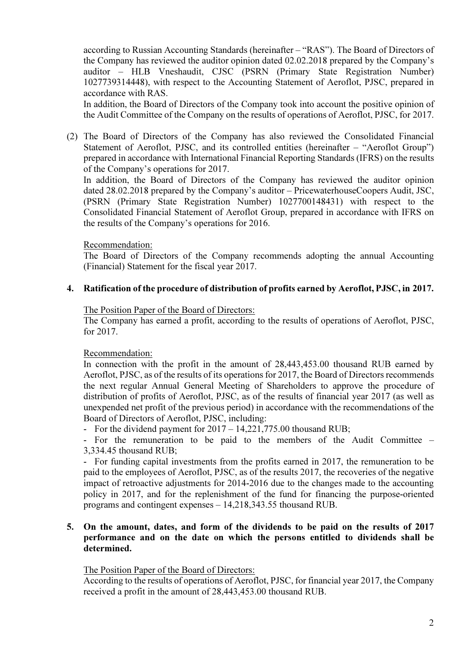according to Russian Accounting Standards (hereinafter – "RAS"). The Board of Directors of the Company has reviewed the auditor opinion dated 02.02.2018 prepared by the Company's auditor – HLB Vneshaudit, CJSC (PSRN (Primary State Registration Number) 1027739314448), with respect to the Accounting Statement of Aeroflot, PJSC, prepared in accordance with RAS.

In addition, the Board of Directors of the Company took into account the positive opinion of the Audit Committee of the Company on the results of operations of Aeroflot, PJSC, for 2017.

(2) The Board of Directors of the Company has also reviewed the Consolidated Financial Statement of Aeroflot, PJSC, and its controlled entities (hereinafter – "Aeroflot Group") prepared in accordance with International Financial Reporting Standards (IFRS) on the results of the Company's operations for 2017.

In addition, the Board of Directors of the Company has reviewed the auditor opinion dated 28.02.2018 prepared by the Company's auditor – PricewaterhouseCoopers Audit, JSC, (PSRN (Primary State Registration Number) 1027700148431) with respect to the Consolidated Financial Statement of Aeroflot Group, prepared in accordance with IFRS on the results of the Company's operations for 2016.

## Recommendation:

The Board of Directors of the Company recommends adopting the annual Accounting (Financial) Statement for the fiscal year 2017.

## 4. Ratification of the procedure of distribution of profits earned by Aeroflot, PJSC, in 2017.

#### The Position Paper of the Board of Directors:

The Company has earned a profit, according to the results of operations of Aeroflot, PJSC, for 2017.

Recommendation:

In connection with the profit in the amount of 28,443,453.00 thousand RUB earned by Aeroflot, PJSC, as of the results of its operations for 2017, the Board of Directors recommends the next regular Annual General Meeting of Shareholders to approve the procedure of distribution of profits of Aeroflot, PJSC, as of the results of financial year 2017 (as well as unexpended net profit of the previous period) in accordance with the recommendations of the Board of Directors of Aeroflot, PJSC, including:

- For the dividend payment for 2017 – 14,221,775.00 thousand RUB;

- For the remuneration to be paid to the members of the Audit Committee – 3,334.45 thousand RUB;

- For funding capital investments from the profits earned in 2017, the remuneration to be paid to the employees of Aeroflot, PJSC, as of the results 2017, the recoveries of the negative impact of retroactive adjustments for 2014-2016 due to the changes made to the accounting policy in 2017, and for the replenishment of the fund for financing the purpose-oriented programs and contingent expenses – 14,218,343.55 thousand RUB.

## 5. On the amount, dates, and form of the dividends to be paid on the results of 2017 performance and on the date on which the persons entitled to dividends shall be determined.

The Position Paper of the Board of Directors:

According to the results of operations of Aeroflot, PJSC, for financial year 2017, the Company received a profit in the amount of 28,443,453.00 thousand RUB.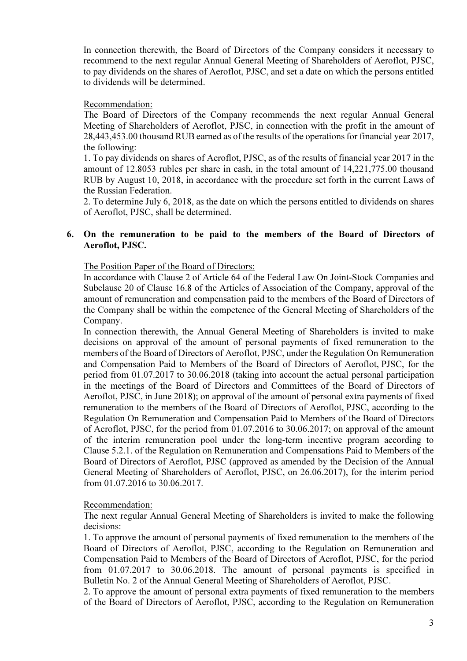In connection therewith, the Board of Directors of the Company considers it necessary to recommend to the next regular Annual General Meeting of Shareholders of Aeroflot, PJSC, to pay dividends on the shares of Aeroflot, PJSC, and set a date on which the persons entitled to dividends will be determined.

## Recommendation:

The Board of Directors of the Company recommends the next regular Annual General Meeting of Shareholders of Aeroflot, PJSC, in connection with the profit in the amount of 28,443,453.00 thousand RUB earned as of the results of the operations for financial year 2017, the following:

1. To pay dividends on shares of Aeroflot, PJSC, as of the results of financial year 2017 in the amount of 12.8053 rubles per share in cash, in the total amount of 14,221,775.00 thousand RUB by August 10, 2018, in accordance with the procedure set forth in the current Laws of the Russian Federation.

2. To determine July 6, 2018, as the date on which the persons entitled to dividends on shares of Aeroflot, PJSC, shall be determined.

## 6. On the remuneration to be paid to the members of the Board of Directors of Aeroflot, PJSC.

The Position Paper of the Board of Directors:

In accordance with Clause 2 of Article 64 of the Federal Law On Joint-Stock Companies and Subclause 20 of Clause 16.8 of the Articles of Association of the Company, approval of the amount of remuneration and compensation paid to the members of the Board of Directors of the Company shall be within the competence of the General Meeting of Shareholders of the Company.

In connection therewith, the Annual General Meeting of Shareholders is invited to make decisions on approval of the amount of personal payments of fixed remuneration to the members of the Board of Directors of Aeroflot, PJSC, under the Regulation On Remuneration and Compensation Paid to Members of the Board of Directors of Aeroflot, PJSC, for the period from 01.07.2017 to 30.06.2018 (taking into account the actual personal participation in the meetings of the Board of Directors and Committees of the Board of Directors of Aeroflot, PJSC, in June 2018); on approval of the amount of personal extra payments of fixed remuneration to the members of the Board of Directors of Aeroflot, PJSC, according to the Regulation On Remuneration and Compensation Paid to Members of the Board of Directors of Aeroflot, PJSC, for the period from 01.07.2016 to 30.06.2017; on approval of the amount of the interim remuneration pool under the long-term incentive program according to Clause 5.2.1. of the Regulation on Remuneration and Compensations Paid to Members of the Board of Directors of Aeroflot, PJSC (approved as amended by the Decision of the Annual General Meeting of Shareholders of Aeroflot, PJSC, on 26.06.2017), for the interim period from 01.07.2016 to 30.06.2017.

#### Recommendation:

The next regular Annual General Meeting of Shareholders is invited to make the following decisions:

1. To approve the amount of personal payments of fixed remuneration to the members of the Board of Directors of Aeroflot, PJSC, according to the Regulation on Remuneration and Compensation Paid to Members of the Board of Directors of Aeroflot, PJSC, for the period from 01.07.2017 to 30.06.2018. The amount of personal payments is specified in Bulletin No. 2 of the Annual General Meeting of Shareholders of Aeroflot, PJSC.

2. To approve the amount of personal extra payments of fixed remuneration to the members of the Board of Directors of Aeroflot, PJSC, according to the Regulation on Remuneration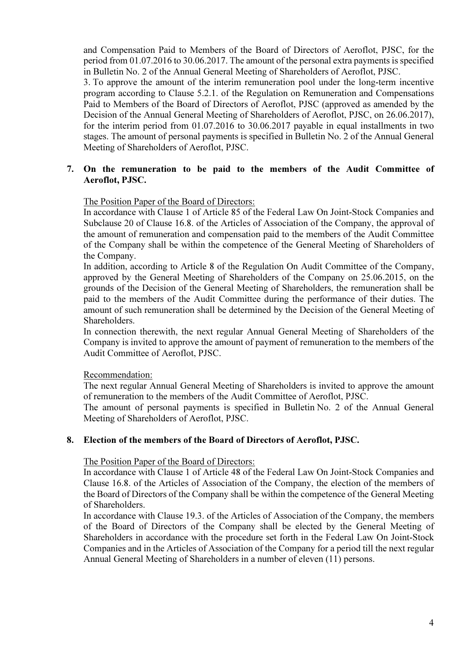and Compensation Paid to Members of the Board of Directors of Aeroflot, PJSC, for the period from 01.07.2016 to 30.06.2017. The amount of the personal extra payments is specified in Bulletin No. 2 of the Annual General Meeting of Shareholders of Aeroflot, PJSC.

3. To approve the amount of the interim remuneration pool under the long-term incentive program according to Clause 5.2.1. of the Regulation on Remuneration and Compensations Paid to Members of the Board of Directors of Aeroflot, PJSC (approved as amended by the Decision of the Annual General Meeting of Shareholders of Aeroflot, PJSC, on 26.06.2017), for the interim period from 01.07.2016 to 30.06.2017 payable in equal installments in two stages. The amount of personal payments is specified in Bulletin No. 2 of the Annual General Meeting of Shareholders of Aeroflot, PJSC.

# 7. On the remuneration to be paid to the members of the Audit Committee of Aeroflot, PJSC.

## The Position Paper of the Board of Directors:

In accordance with Clause 1 of Article 85 of the Federal Law On Joint-Stock Companies and Subclause 20 of Clause 16.8. of the Articles of Association of the Company, the approval of the amount of remuneration and compensation paid to the members of the Audit Committee of the Company shall be within the competence of the General Meeting of Shareholders of the Company.

In addition, according to Article 8 of the Regulation On Audit Committee of the Company, approved by the General Meeting of Shareholders of the Company on 25.06.2015, on the grounds of the Decision of the General Meeting of Shareholders, the remuneration shall be paid to the members of the Audit Committee during the performance of their duties. The amount of such remuneration shall be determined by the Decision of the General Meeting of Shareholders.

In connection therewith, the next regular Annual General Meeting of Shareholders of the Company is invited to approve the amount of payment of remuneration to the members of the Audit Committee of Aeroflot, PJSC.

#### Recommendation:

The next regular Annual General Meeting of Shareholders is invited to approve the amount of remuneration to the members of the Audit Committee of Aeroflot, PJSC.

The amount of personal payments is specified in Bulletin No. 2 of the Annual General Meeting of Shareholders of Aeroflot, PJSC.

#### 8. Election of the members of the Board of Directors of Aeroflot, PJSC.

#### The Position Paper of the Board of Directors:

In accordance with Clause 1 of Article 48 of the Federal Law On Joint-Stock Companies and Clause 16.8. of the Articles of Association of the Company, the election of the members of the Board of Directors of the Company shall be within the competence of the General Meeting of Shareholders.

In accordance with Clause 19.3. of the Articles of Association of the Company, the members of the Board of Directors of the Company shall be elected by the General Meeting of Shareholders in accordance with the procedure set forth in the Federal Law On Joint-Stock Companies and in the Articles of Association of the Company for a period till the next regular Annual General Meeting of Shareholders in a number of eleven (11) persons.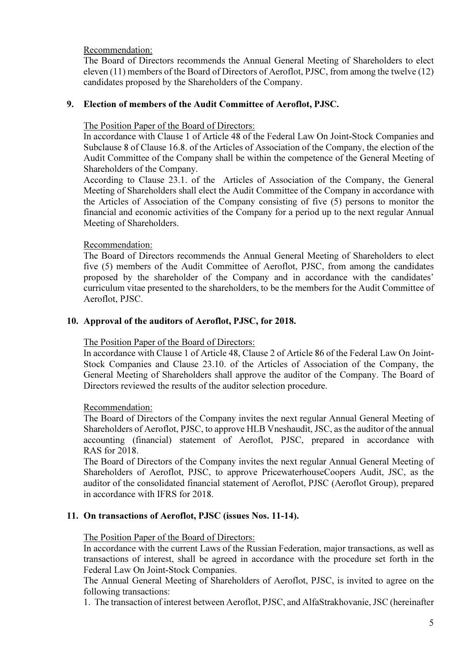Recommendation:

The Board of Directors recommends the Annual General Meeting of Shareholders to elect eleven (11) members of the Board of Directors of Aeroflot, PJSC, from among the twelve (12) candidates proposed by the Shareholders of the Company.

# 9. Election of members of the Audit Committee of Aeroflot, PJSC.

The Position Paper of the Board of Directors:

In accordance with Clause 1 of Article 48 of the Federal Law On Joint-Stock Companies and Subclause 8 of Clause 16.8. of the Articles of Association of the Company, the election of the Audit Committee of the Company shall be within the competence of the General Meeting of Shareholders of the Company.

According to Clause 23.1. of the Articles of Association of the Company, the General Meeting of Shareholders shall elect the Audit Committee of the Company in accordance with the Articles of Association of the Company consisting of five (5) persons to monitor the financial and economic activities of the Company for a period up to the next regular Annual Meeting of Shareholders.

## Recommendation:

The Board of Directors recommends the Annual General Meeting of Shareholders to elect five (5) members of the Audit Committee of Aeroflot, PJSC, from among the candidates proposed by the shareholder of the Company and in accordance with the candidates' curriculum vitae presented to the shareholders, to be the members for the Audit Committee of Aeroflot, PJSC.

## 10. Approval of the auditors of Aeroflot, PJSC, for 2018.

The Position Paper of the Board of Directors:

In accordance with Clause 1 of Article 48, Clause 2 of Article 86 of the Federal Law On Joint-Stock Companies and Clause 23.10. of the Articles of Association of the Company, the General Meeting of Shareholders shall approve the auditor of the Company. The Board of Directors reviewed the results of the auditor selection procedure.

# Recommendation:

The Board of Directors of the Company invites the next regular Annual General Meeting of Shareholders of Aeroflot, PJSC, to approve HLB Vneshaudit, JSC, as the auditor of the annual accounting (financial) statement of Aeroflot, PJSC, prepared in accordance with RAS for 2018.

The Board of Directors of the Company invites the next regular Annual General Meeting of Shareholders of Aeroflot, PJSC, to approve PricewaterhouseCoopers Audit, JSC, as the auditor of the consolidated financial statement of Aeroflot, PJSC (Aeroflot Group), prepared in accordance with IFRS for 2018.

# 11. On transactions of Aeroflot, PJSC (issues Nos. 11-14).

# The Position Paper of the Board of Directors:

In accordance with the current Laws of the Russian Federation, major transactions, as well as transactions of interest, shall be agreed in accordance with the procedure set forth in the Federal Law On Joint-Stock Companies.

The Annual General Meeting of Shareholders of Aeroflot, PJSC, is invited to agree on the following transactions:

1. The transaction of interest between Aeroflot, PJSC, and AlfaStrakhovanie, JSC (hereinafter